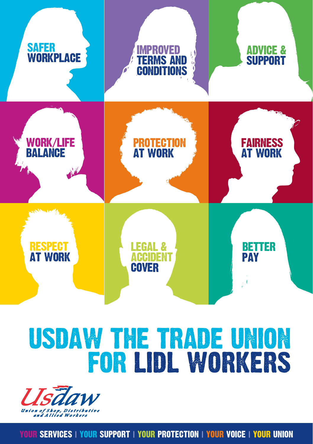

### USDAW THE TRADE UNION FOR LIDL WORKERS



YOUR SERVICES **|** YOUR SUPPORT **|** YOUR PROTECTION **|** YOUR VOICE **|** YOUR UNION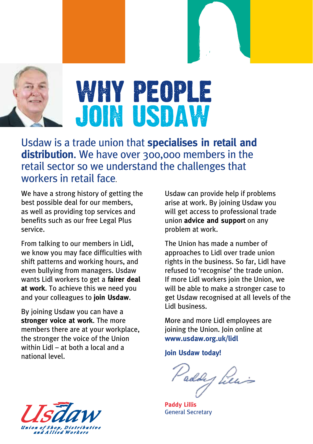

Usdaw is a trade union that **specialises in retail and distribution**. We have over 300,000 members in the retail sector so we understand the challenges that workers in retail face.

We have a strong history of getting the best possible deal for our members, as well as providing top services and benefits such as our free Legal Plus service.

From talking to our members in Lidl, we know you may face difficulties with shift patterns and working hours, and even bullying from managers. Usdaw wants Lidl workers to get a **fairer deal at work**. To achieve this we need you and your colleagues to **join Usdaw**.

By joining Usdaw you can have a **stronger voice at work**. The more members there are at your workplace, the stronger the voice of the Union within Lidl – at both a local and a national level.

Usdaw can provide help if problems arise at work. By joining Usdaw you will get access to professional trade union **advice and support** on any problem at work.

The Union has made a number of approaches to Lidl over trade union rights in the business. So far, Lidl have refused to 'recognise' the trade union. If more Lidl workers join the Union, we will be able to make a stronger case to get Usdaw recognised at all levels of the Lidl business.

More and more Lidl employees are joining the Union. Join online at **www.usdaw.org.uk/lidl**

**Join Usdaw today!**

Paddy Lews

**Paddy Lillis** General Secretary

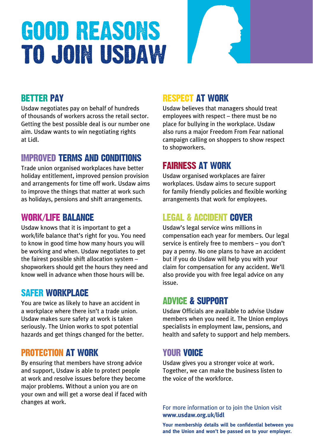## good reasons to join usdaw

#### BETTER PAY

Usdaw negotiates pay on behalf of hundreds of thousands of workers across the retail sector. Getting the best possible deal is our number one aim. Usdaw wants to win negotiating rights at Lidl.

#### IMPROVED TERMS AND CONDITIONS

Trade union organised workplaces have better holiday entitlement, improved pension provision and arrangements for time off work. Usdaw aims to improve the things that matter at work such as holidays, pensions and shift arrangements.

#### WORK/LIFE BALANCE

Usdaw knows that it is important to get a work/life balance that's right for you. You need to know in good time how many hours you will be working and when. Usdaw negotiates to get the fairest possible shift allocation system – shopworkers should get the hours they need and know well in advance when those hours will be.

#### SAFER WORKPLACE

You are twice as likely to have an accident in a workplace where there isn't a trade union. Usdaw makes sure safety at work is taken seriously. The Union works to spot potential hazards and get things changed for the better.

#### PROTECTION AT WORK

By ensuring that members have strong advice and support, Usdaw is able to protect people at work and resolve issues before they become major problems. Without a union you are on your own and will get a worse deal if faced with changes at work.

#### RESPECT AT WORK

Usdaw believes that managers should treat employees with respect – there must be no place for bullying in the workplace. Usdaw also runs a major Freedom From Fear national campaign calling on shoppers to show respect to shopworkers.

#### FAIRNESS AT WORK

Usdaw organised workplaces are fairer workplaces. Usdaw aims to secure support for family friendly policies and flexible working arrangements that work for employees.

#### LEGAL & ACCIDENT COVER

Usdaw's legal service wins millions in compensation each year for members. Our legal service is entirely free to members – you don't pay a penny. No one plans to have an accident but if you do Usdaw will help you with your claim for compensation for any accident. We'll also provide you with free legal advice on any issue.

#### ADVICE & SUPPORT

Usdaw Officials are available to advise Usdaw members when you need it. The Union employs specialists in employment law, pensions, and health and safety to support and help members.

#### YOUR VOICE

Usdaw gives you a stronger voice at work. Together, we can make the business listen to the voice of the workforce.

For more information or to join the Union visit **www.usdaw.org.uk/lidl**

**Your membership details will be confidential between you and the Union and won't be passed on to your employer.**